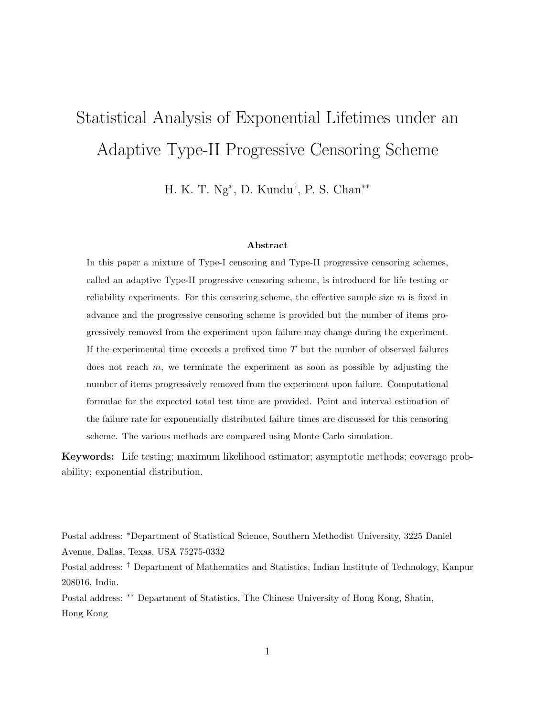# Statistical Analysis of Exponential Lifetimes under an Adaptive Type-II Progressive Censoring Scheme

H. K. T. Ng<sup>∗</sup> , D. Kundu† , P. S. Chan∗∗

#### Abstract

In this paper a mixture of Type-I censoring and Type-II progressive censoring schemes, called an adaptive Type-II progressive censoring scheme, is introduced for life testing or reliability experiments. For this censoring scheme, the effective sample size  $m$  is fixed in advance and the progressive censoring scheme is provided but the number of items progressively removed from the experiment upon failure may change during the experiment. If the experimental time exceeds a prefixed time  $T$  but the number of observed failures does not reach  $m$ , we terminate the experiment as soon as possible by adjusting the number of items progressively removed from the experiment upon failure. Computational formulae for the expected total test time are provided. Point and interval estimation of the failure rate for exponentially distributed failure times are discussed for this censoring scheme. The various methods are compared using Monte Carlo simulation.

Keywords: Life testing; maximum likelihood estimator; asymptotic methods; coverage probability; exponential distribution.

Postal address: <sup>∗</sup>Department of Statistical Science, Southern Methodist University, 3225 Daniel Avenue, Dallas, Texas, USA 75275-0332 Postal address: † Department of Mathematics and Statistics, Indian Institute of Technology, Kanpur 208016, India. Postal address: ∗∗ Department of Statistics, The Chinese University of Hong Kong, Shatin, Hong Kong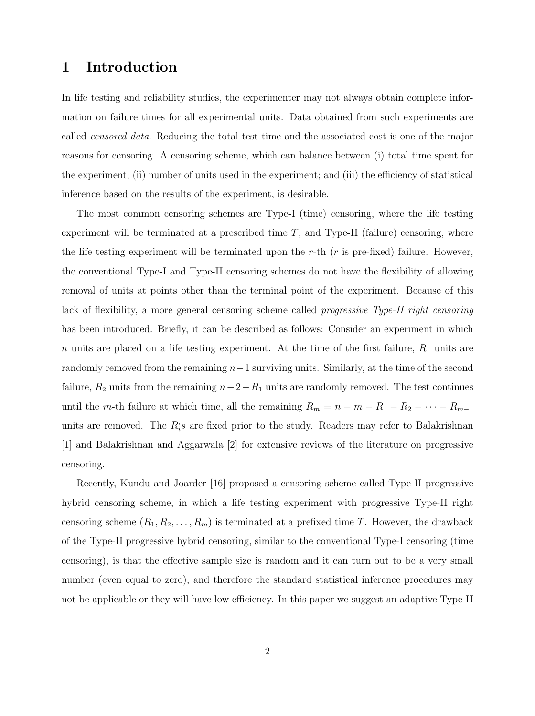## 1 Introduction

In life testing and reliability studies, the experimenter may not always obtain complete information on failure times for all experimental units. Data obtained from such experiments are called censored data. Reducing the total test time and the associated cost is one of the major reasons for censoring. A censoring scheme, which can balance between (i) total time spent for the experiment; (ii) number of units used in the experiment; and (iii) the efficiency of statistical inference based on the results of the experiment, is desirable.

The most common censoring schemes are Type-I (time) censoring, where the life testing experiment will be terminated at a prescribed time  $T$ , and Type-II (failure) censoring, where the life testing experiment will be terminated upon the r-th  $(r$  is pre-fixed) failure. However, the conventional Type-I and Type-II censoring schemes do not have the flexibility of allowing removal of units at points other than the terminal point of the experiment. Because of this lack of flexibility, a more general censoring scheme called progressive Type-II right censoring has been introduced. Briefly, it can be described as follows: Consider an experiment in which  $n$  units are placed on a life testing experiment. At the time of the first failure,  $R_1$  units are randomly removed from the remaining  $n-1$  surviving units. Similarly, at the time of the second failure,  $R_2$  units from the remaining  $n-2-R_1$  units are randomly removed. The test continues until the m-th failure at which time, all the remaining  $R_m = n - m - R_1 - R_2 - \cdots - R_{m-1}$ units are removed. The  $R_i$ 's are fixed prior to the study. Readers may refer to Balakrishnan [1] and Balakrishnan and Aggarwala [2] for extensive reviews of the literature on progressive censoring.

Recently, Kundu and Joarder [16] proposed a censoring scheme called Type-II progressive hybrid censoring scheme, in which a life testing experiment with progressive Type-II right censoring scheme  $(R_1, R_2, \ldots, R_m)$  is terminated at a prefixed time T. However, the drawback of the Type-II progressive hybrid censoring, similar to the conventional Type-I censoring (time censoring), is that the effective sample size is random and it can turn out to be a very small number (even equal to zero), and therefore the standard statistical inference procedures may not be applicable or they will have low efficiency. In this paper we suggest an adaptive Type-II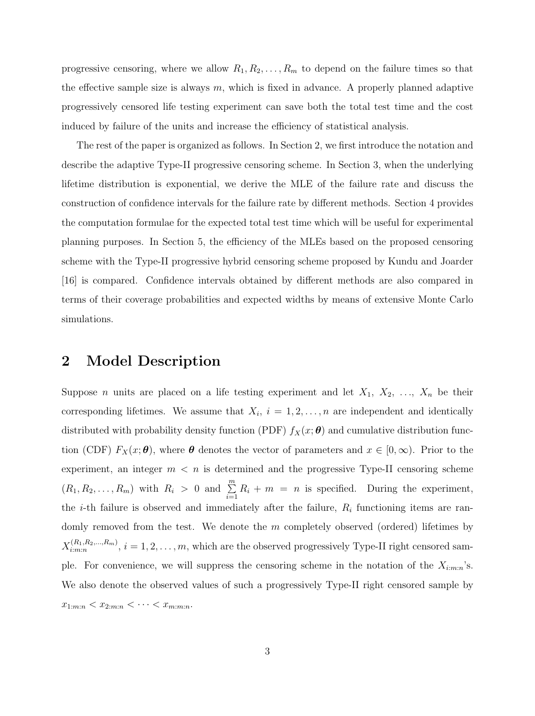progressive censoring, where we allow  $R_1, R_2, \ldots, R_m$  to depend on the failure times so that the effective sample size is always  $m$ , which is fixed in advance. A properly planned adaptive progressively censored life testing experiment can save both the total test time and the cost induced by failure of the units and increase the efficiency of statistical analysis.

The rest of the paper is organized as follows. In Section 2, we first introduce the notation and describe the adaptive Type-II progressive censoring scheme. In Section 3, when the underlying lifetime distribution is exponential, we derive the MLE of the failure rate and discuss the construction of confidence intervals for the failure rate by different methods. Section 4 provides the computation formulae for the expected total test time which will be useful for experimental planning purposes. In Section 5, the efficiency of the MLEs based on the proposed censoring scheme with the Type-II progressive hybrid censoring scheme proposed by Kundu and Joarder [16] is compared. Confidence intervals obtained by different methods are also compared in terms of their coverage probabilities and expected widths by means of extensive Monte Carlo simulations.

## 2 Model Description

Suppose *n* units are placed on a life testing experiment and let  $X_1, X_2, \ldots, X_n$  be their corresponding lifetimes. We assume that  $X_i$ ,  $i = 1, 2, ..., n$  are independent and identically distributed with probability density function (PDF)  $f_X(x; \theta)$  and cumulative distribution function (CDF)  $F_X(x;\theta)$ , where  $\theta$  denotes the vector of parameters and  $x \in [0,\infty)$ . Prior to the experiment, an integer  $m < n$  is determined and the progressive Type-II censoring scheme  $(R_1, R_2, \ldots, R_m)$  with  $R_i > 0$  and  $\sum_{i=1}^{m} R_i + m = n$  is specified. During the experiment, the *i*-th failure is observed and immediately after the failure,  $R_i$  functioning items are randomly removed from the test. We denote the  $m$  completely observed (ordered) lifetimes by  $X_{i:m:n}^{(R_1,R_2,\ldots,R_m)}$  $i_{i,m;n}^{(R_1,R_2,...,R_m)}$ ,  $i = 1,2,...,m$ , which are the observed progressively Type-II right censored sample. For convenience, we will suppress the censoring scheme in the notation of the  $X_{i:m:n}$ 's. We also denote the observed values of such a progressively Type-II right censored sample by  $x_{1:m:n} < x_{2:m:n} < \cdots < x_{m:m:n}.$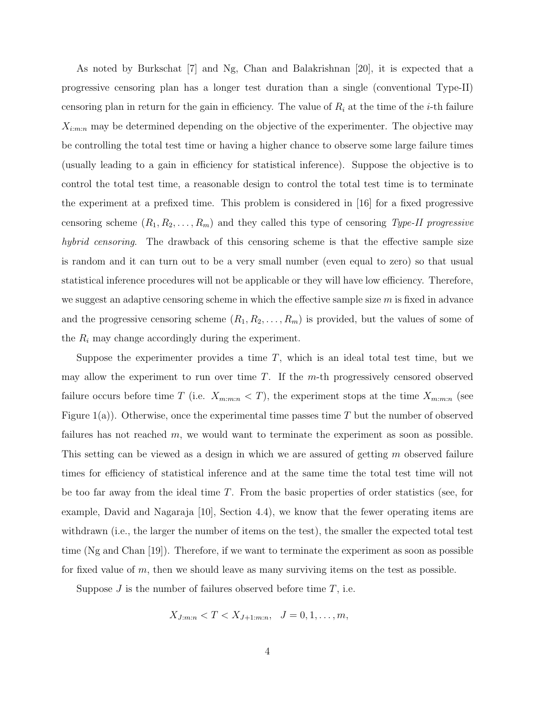As noted by Burkschat [7] and Ng, Chan and Balakrishnan [20], it is expected that a progressive censoring plan has a longer test duration than a single (conventional Type-II) censoring plan in return for the gain in efficiency. The value of  $R_i$  at the time of the *i*-th failure  $X_{i:m:n}$  may be determined depending on the objective of the experimenter. The objective may be controlling the total test time or having a higher chance to observe some large failure times (usually leading to a gain in efficiency for statistical inference). Suppose the objective is to control the total test time, a reasonable design to control the total test time is to terminate the experiment at a prefixed time. This problem is considered in [16] for a fixed progressive censoring scheme  $(R_1, R_2, \ldots, R_m)$  and they called this type of censoring Type-II progressive hybrid censoring. The drawback of this censoring scheme is that the effective sample size is random and it can turn out to be a very small number (even equal to zero) so that usual statistical inference procedures will not be applicable or they will have low efficiency. Therefore, we suggest an adaptive censoring scheme in which the effective sample size  $m$  is fixed in advance and the progressive censoring scheme  $(R_1, R_2, \ldots, R_m)$  is provided, but the values of some of the  $R_i$  may change accordingly during the experiment.

Suppose the experimenter provides a time  $T$ , which is an ideal total test time, but we may allow the experiment to run over time  $T$ . If the  $m$ -th progressively censored observed failure occurs before time T (i.e.  $X_{m:m:n} < T$ ), the experiment stops at the time  $X_{m:m:n}$  (see Figure  $1(a)$ ). Otherwise, once the experimental time passes time T but the number of observed failures has not reached m, we would want to terminate the experiment as soon as possible. This setting can be viewed as a design in which we are assured of getting m observed failure times for efficiency of statistical inference and at the same time the total test time will not be too far away from the ideal time  $T$ . From the basic properties of order statistics (see, for example, David and Nagaraja [10], Section 4.4), we know that the fewer operating items are withdrawn (i.e., the larger the number of items on the test), the smaller the expected total test time (Ng and Chan [19]). Therefore, if we want to terminate the experiment as soon as possible for fixed value of  $m$ , then we should leave as many surviving items on the test as possible.

Suppose  $J$  is the number of failures observed before time  $T$ , i.e.

$$
X_{J:m:n} < T < X_{J+1:m:n}, \quad J = 0, 1, \ldots, m,
$$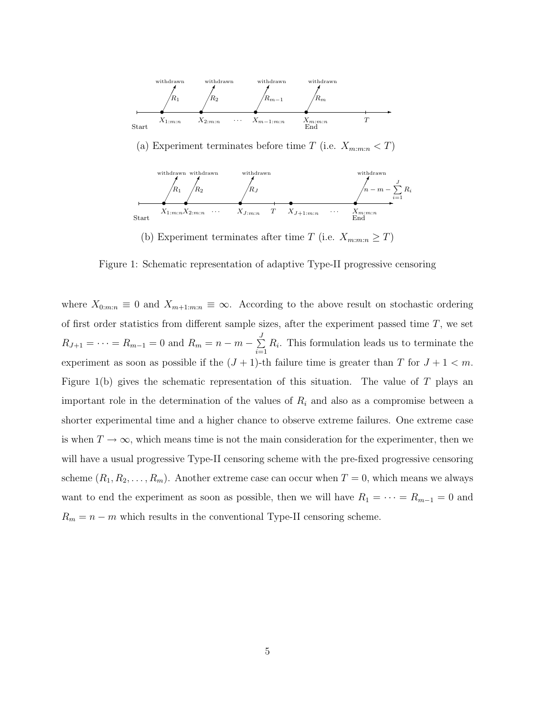

(a) Experiment terminates before time T (i.e.  $X_{m:m:n} < T$ )



(b) Experiment terminates after time T (i.e.  $X_{m:m:n} \geq T$ )

Figure 1: Schematic representation of adaptive Type-II progressive censoring

where  $X_{0:m:n} \equiv 0$  and  $X_{m+1:m:n} \equiv \infty$ . According to the above result on stochastic ordering of first order statistics from different sample sizes, after the experiment passed time  $T$ , we set  $R_{J+1} = \cdots = R_{m-1} = 0$  and  $R_m = n - m - \sum_{i=1}^{m}$  $\sum_{i=1} R_i$ . This formulation leads us to terminate the experiment as soon as possible if the  $(J + 1)$ -th failure time is greater than T for  $J + 1 < m$ . Figure 1(b) gives the schematic representation of this situation. The value of  $T$  plays an important role in the determination of the values of  $R_i$  and also as a compromise between a shorter experimental time and a higher chance to observe extreme failures. One extreme case is when  $T \to \infty$ , which means time is not the main consideration for the experimenter, then we will have a usual progressive Type-II censoring scheme with the pre-fixed progressive censoring scheme  $(R_1, R_2, \ldots, R_m)$ . Another extreme case can occur when  $T = 0$ , which means we always want to end the experiment as soon as possible, then we will have  $R_1 = \cdots = R_{m-1} = 0$  and  $R_m = n - m$  which results in the conventional Type-II censoring scheme.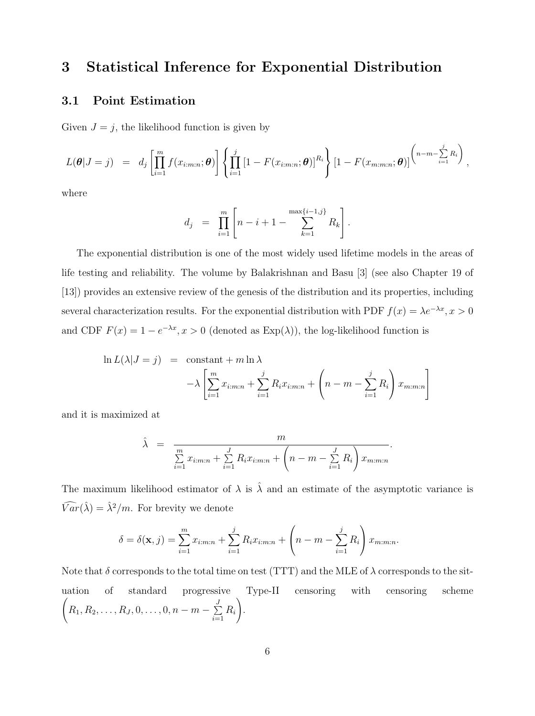## 3 Statistical Inference for Exponential Distribution

#### 3.1 Point Estimation

Given  $J = j$ , the likelihood function is given by

$$
L(\boldsymbol{\theta}|J=j) = d_j \left[ \prod_{i=1}^m f(x_{i:m:n}; \boldsymbol{\theta}) \right] \left\{ \prod_{i=1}^j \left[ 1 - F(x_{i:m:n}; \boldsymbol{\theta}) \right]^{R_i} \right\} \left[ 1 - F(x_{m:m:n}; \boldsymbol{\theta}) \right]^{(n-m-\sum_{i=1}^j R_i)},
$$

where

$$
d_j = \prod_{i=1}^m \left[ n - i + 1 - \sum_{k=1}^{\max\{i-1,j\}} R_k \right].
$$

The exponential distribution is one of the most widely used lifetime models in the areas of life testing and reliability. The volume by Balakrishnan and Basu [3] (see also Chapter 19 of [13]) provides an extensive review of the genesis of the distribution and its properties, including several characterization results. For the exponential distribution with PDF  $f(x) = \lambda e^{-\lambda x}, x > 0$ and CDF  $F(x) = 1 - e^{-\lambda x}, x > 0$  (denoted as  $Exp(\lambda)$ ), the log-likelihood function is

$$
\ln L(\lambda | J = j) = \text{constant} + m \ln \lambda
$$

$$
-\lambda \left[ \sum_{i=1}^{m} x_{i:m:n} + \sum_{i=1}^{j} R_i x_{i:m:n} + \left( n - m - \sum_{i=1}^{j} R_i \right) x_{m:m:n} \right]
$$

and it is maximized at

$$
\hat{\lambda} = \frac{m}{\sum_{i=1}^{m} x_{i:m:n} + \sum_{i=1}^{J} R_i x_{i:m:n} + \left(n - m - \sum_{i=1}^{J} R_i\right) x_{m:m:n}}.
$$

The maximum likelihood estimator of  $\lambda$  is  $\hat{\lambda}$  and an estimate of the asymptotic variance is  $\widehat{Var}(\hat{\lambda}) = \hat{\lambda}^2/m$ . For brevity we denote

$$
\delta = \delta(\mathbf{x}, j) = \sum_{i=1}^{m} x_{i:m:n} + \sum_{i=1}^{j} R_i x_{i:m:n} + \left(n - m - \sum_{i=1}^{j} R_i\right) x_{m:m:n}.
$$

Note that  $\delta$  corresponds to the total time on test (TTT) and the MLE of  $\lambda$  corresponds to the situation of standard progressive Type-II censoring with censoring scheme  $\sqrt{ }$  $R_1,R_2,\ldots,R_J,0,\ldots,0,n-m-\textstyle{\sum\limits_{D}}$  $\sum_{i=1} R_i$  $\setminus$ .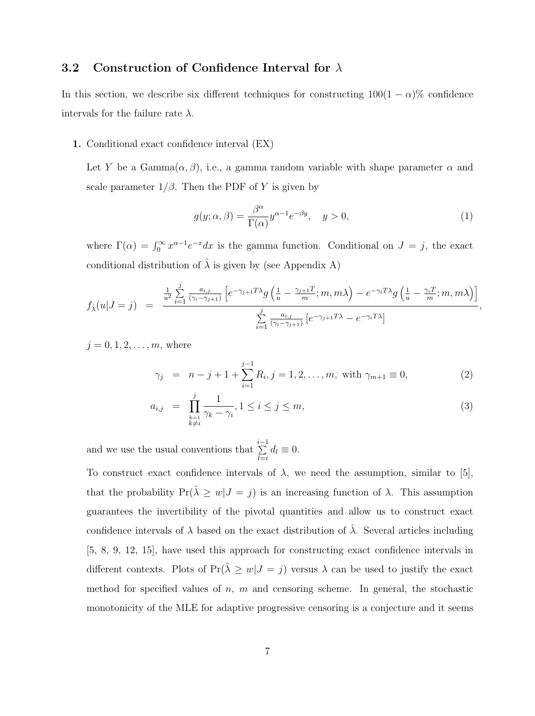#### 3.2 Construction of Confidence Interval for  $\lambda$

In this section, we describe six different techniques for constructing  $100(1 - \alpha)\%$  confidence intervals for the failure rate  $\lambda$ .

1. Conditional exact confidence interval (EX)

Let Y be a Gamma $(\alpha, \beta)$ , i.e., a gamma random variable with shape parameter  $\alpha$  and scale parameter  $1/\beta$ . Then the PDF of Y is given by

$$
g(y; \alpha, \beta) = \frac{\beta^{\alpha}}{\Gamma(\alpha)} y^{\alpha - 1} e^{-\beta y}, \quad y > 0,
$$
\n(1)

where  $\Gamma(\alpha) = \int_0^\infty x^{\alpha-1} e^{-x} dx$  is the gamma function. Conditional on  $J = j$ , the exact conditional distribution of  $\lambda$  is given by (see Appendix A)

$$
f_{\hat{\lambda}}(u|J=j) = \frac{\frac{1}{u^2} \sum_{i=1}^{j} \frac{a_{i,j}}{(\gamma_i - \gamma_{j+1})} \left[ e^{-\gamma_{j+1} T \lambda} g\left(\frac{1}{u} - \frac{\gamma_{j+1} T}{m}; m, m\lambda\right) - e^{-\gamma_i T \lambda} g\left(\frac{1}{u} - \frac{\gamma_i T}{m}; m, m\lambda\right) \right]}{\sum_{i=1}^{j} \frac{a_{i,j}}{(\gamma_i - \gamma_{j+1})} \left[ e^{-\gamma_{j+1} T \lambda} - e^{-\gamma_i T \lambda} \right]},
$$

 $j = 0, 1, 2, ..., m$ , where

$$
\gamma_j = n - j + 1 + \sum_{i=1}^{j-1} R_i, j = 1, 2, \dots, m, \text{ with } \gamma_{m+1} \equiv 0,
$$
\n(2)

$$
a_{i,j} = \prod_{\substack{k=1 \ k \neq i}}^{j} \frac{1}{\gamma_k - \gamma_i}, 1 \leq i \leq j \leq m,
$$
\n(3)

and we use the usual conventions that  $\sum_{i=1}^{i-1}$  $\sum_{l=i} d_l \equiv 0.$ 

To construct exact confidence intervals of  $\lambda$ , we need the assumption, similar to [5], that the probability  $Pr(\lambda \geq w | J = j)$  is an increasing function of  $\lambda$ . This assumption guarantees the invertibility of the pivotal quantities and allow us to construct exact confidence intervals of  $\lambda$  based on the exact distribution of  $\lambda$ . Several articles including [5, 8, 9, 12, 15], have used this approach for constructing exact confidence intervals in different contexts. Plots of  $Pr(\hat{\lambda} \geq w | J = j)$  versus  $\lambda$  can be used to justify the exact method for specified values of  $n$ ,  $m$  and censoring scheme. In general, the stochastic monotonicity of the MLE for adaptive progressive censoring is a conjecture and it seems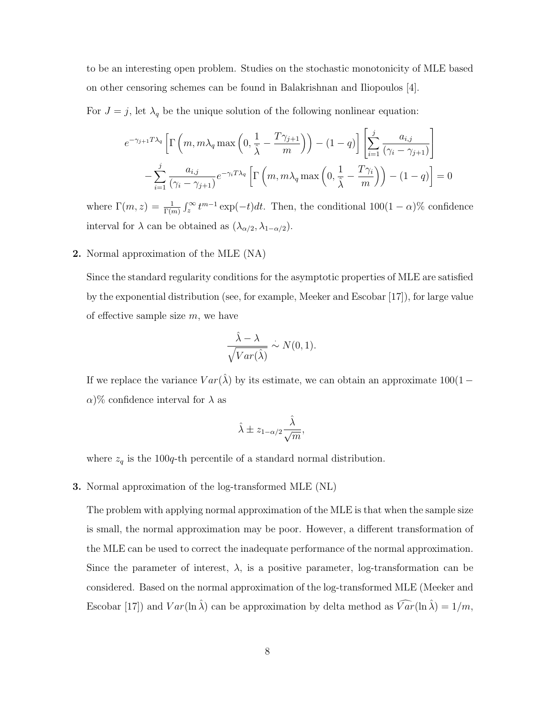to be an interesting open problem. Studies on the stochastic monotonicity of MLE based on other censoring schemes can be found in Balakrishnan and Iliopoulos [4].

For  $J = j$ , let  $\lambda_q$  be the unique solution of the following nonlinear equation:

$$
e^{-\gamma_{j+1}T\lambda_q} \left[ \Gamma\left(m, m\lambda_q \max\left(0, \frac{1}{\hat{\lambda}} - \frac{T\gamma_{j+1}}{m}\right)\right) - (1-q) \right] \left[ \sum_{i=1}^j \frac{a_{i,j}}{(\gamma_i - \gamma_{j+1})} \right]
$$

$$
- \sum_{i=1}^j \frac{a_{i,j}}{(\gamma_i - \gamma_{j+1})} e^{-\gamma_i T\lambda_q} \left[ \Gamma\left(m, m\lambda_q \max\left(0, \frac{1}{\hat{\lambda}} - \frac{T\gamma_i}{m}\right)\right) - (1-q) \right] = 0
$$

where  $\Gamma(m, z) = \frac{1}{\Gamma(m)} \int_z^{\infty} t^{m-1} \exp(-t) dt$ . Then, the conditional  $100(1-\alpha)\%$  confidence interval for  $\lambda$  can be obtained as  $(\lambda_{\alpha/2}, \lambda_{1-\alpha/2})$ .

#### 2. Normal approximation of the MLE (NA)

Since the standard regularity conditions for the asymptotic properties of MLE are satisfied by the exponential distribution (see, for example, Meeker and Escobar [17]), for large value of effective sample size  $m$ , we have

$$
\frac{\hat{\lambda} - \lambda}{\sqrt{Var(\hat{\lambda})}} \sim N(0, 1).
$$

If we replace the variance  $Var(\hat{\lambda})$  by its estimate, we can obtain an approximate  $100(1 \alpha$ )% confidence interval for  $\lambda$  as

$$
\hat{\lambda} \pm z_{1-\alpha/2} \frac{\hat{\lambda}}{\sqrt{m}},
$$

where  $z_q$  is the 100q-th percentile of a standard normal distribution.

3. Normal approximation of the log-transformed MLE (NL)

The problem with applying normal approximation of the MLE is that when the sample size is small, the normal approximation may be poor. However, a different transformation of the MLE can be used to correct the inadequate performance of the normal approximation. Since the parameter of interest,  $\lambda$ , is a positive parameter, log-transformation can be considered. Based on the normal approximation of the log-transformed MLE (Meeker and Escobar [17]) and  $Var(\ln \hat{\lambda})$  can be approximation by delta method as  $\widehat{Var}(\ln \hat{\lambda}) = 1/m$ ,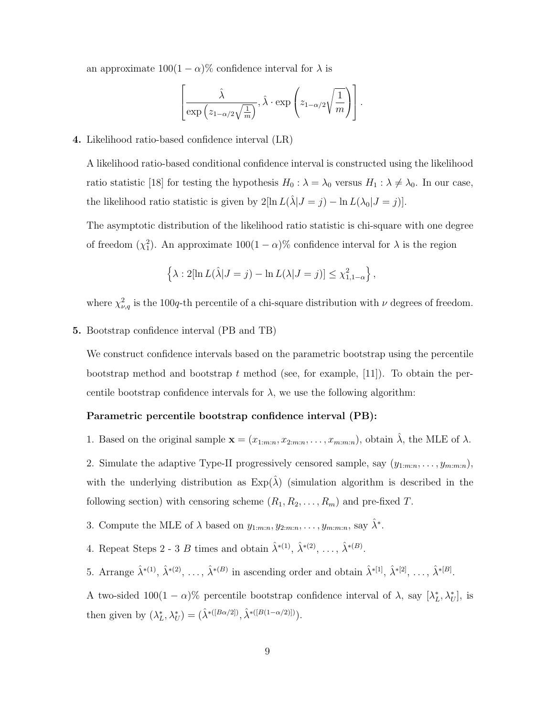an approximate  $100(1 - \alpha)\%$  confidence interval for  $\lambda$  is

$$
\left[\frac{\hat{\lambda}}{\exp\left(z_{1-\alpha/2}\sqrt{\frac{1}{m}}\right)}, \hat{\lambda} \cdot \exp\left(z_{1-\alpha/2}\sqrt{\frac{1}{m}}\right)\right].
$$

#### 4. Likelihood ratio-based confidence interval (LR)

A likelihood ratio-based conditional confidence interval is constructed using the likelihood ratio statistic [18] for testing the hypothesis  $H_0 : \lambda = \lambda_0$  versus  $H_1 : \lambda \neq \lambda_0$ . In our case, the likelihood ratio statistic is given by  $2[\ln L(\hat{\lambda}|J = j) - \ln L(\lambda_0|J = j)].$ 

The asymptotic distribution of the likelihood ratio statistic is chi-square with one degree of freedom  $(\chi_1^2)$ . An approximate  $100(1-\alpha)\%$  confidence interval for  $\lambda$  is the region

$$
\left\{\lambda: 2[\ln L(\hat{\lambda}|J=j) - \ln L(\lambda|J=j)] \leq \chi^2_{1,1-\alpha}\right\},\,
$$

where  $\chi^2_{\nu,q}$  is the 100q-th percentile of a chi-square distribution with  $\nu$  degrees of freedom.

#### 5. Bootstrap confidence interval (PB and TB)

We construct confidence intervals based on the parametric bootstrap using the percentile bootstrap method and bootstrap t method (see, for example, [11]). To obtain the percentile bootstrap confidence intervals for  $\lambda$ , we use the following algorithm:

#### Parametric percentile bootstrap confidence interval (PB):

1. Based on the original sample  $\mathbf{x} = (x_{1:m:n}, x_{2:m:n}, \ldots, x_{m:m:n})$ , obtain  $\hat{\lambda}$ , the MLE of  $\lambda$ .

2. Simulate the adaptive Type-II progressively censored sample, say  $(y_{1:m:n}, \ldots, y_{m:m:n})$ , with the underlying distribution as  $Exp(\hat{\lambda})$  (simulation algorithm is described in the following section) with censoring scheme  $(R_1, R_2, \ldots, R_m)$  and pre-fixed T.

- 3. Compute the MLE of  $\lambda$  based on  $y_{1:m:n}, y_{2:m:n}, \ldots, y_{m:m:n}$ , say  $\hat{\lambda}^*$ .
- 4. Repeat Steps 2 3 B times and obtain  $\hat{\lambda}^{*(1)}$ ,  $\hat{\lambda}^{*(2)}$ , ...,  $\hat{\lambda}^{*(B)}$ .

5. Arrange  $\hat{\lambda}^{*(1)}, \hat{\lambda}^{*(2)}, \ldots, \hat{\lambda}^{*(B)}$  in ascending order and obtain  $\hat{\lambda}^{*(1)}, \hat{\lambda}^{*(2)}, \ldots, \hat{\lambda}^{*(B)}$ .

A two-sided  $100(1 - \alpha)$ % percentile bootstrap confidence interval of  $\lambda$ , say  $[\lambda_L^*, \lambda_U^*]$ , is then given by  $(\lambda_L^*, \lambda_U^*) = (\hat{\lambda}^{*([B\alpha/2])}, \hat{\lambda}^{*([B(1-\alpha/2)])}).$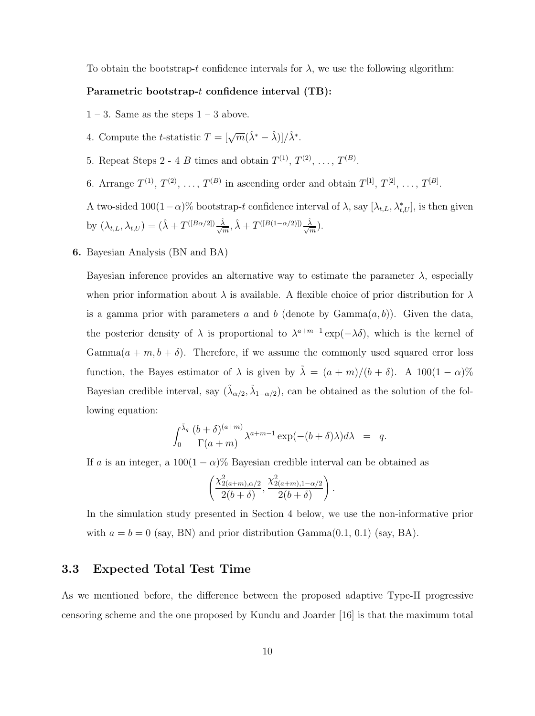To obtain the bootstrap-t confidence intervals for  $\lambda$ , we use the following algorithm:

#### Parametric bootstrap-t confidence interval (TB):

- $1 3$ . Same as the steps  $1 3$  above.
- 4. Compute the *t*-statistic  $T = [\sqrt{m}(\hat{\lambda}^* \hat{\lambda})]/\hat{\lambda}^*$ .
- 5. Repeat Steps 2 4 B times and obtain  $T^{(1)}, T^{(2)}, \ldots, T^{(B)}$ .
- 6. Arrange  $T^{(1)}, T^{(2)}, \ldots, T^{(B)}$  in ascending order and obtain  $T^{[1]}, T^{[2]}, \ldots, T^{[B]}$ .

A two-sided  $100(1-\alpha)$ % bootstrap-t confidence interval of  $\lambda$ , say  $[\lambda_{t,L}, \lambda_{t,U}^*]$ , is then given by  $(\lambda_{t,L}, \lambda_{t,U}) = (\hat{\lambda} + T^{([B\alpha/2])} \frac{\hat{\lambda}}{\sqrt{m}}, \hat{\lambda} + T^{([B(1-\alpha/2)])} \frac{\hat{\lambda}}{\sqrt{m}}).$ 

6. Bayesian Analysis (BN and BA)

Bayesian inference provides an alternative way to estimate the parameter  $\lambda$ , especially when prior information about  $\lambda$  is available. A flexible choice of prior distribution for  $\lambda$ is a gamma prior with parameters a and b (denote by  $Gamma(a, b)$ ). Given the data, the posterior density of  $\lambda$  is proportional to  $\lambda^{a+m-1}$  exp( $-\lambda\delta$ ), which is the kernel of  $Gamma(a + m, b + \delta)$ . Therefore, if we assume the commonly used squared error loss function, the Bayes estimator of  $\lambda$  is given by  $\tilde{\lambda} = (a + m)/(b + \delta)$ . A 100 $(1 - \alpha)$ % Bayesian credible interval, say  $(\tilde{\lambda}_{\alpha/2}, \tilde{\lambda}_{1-\alpha/2})$ , can be obtained as the solution of the following equation:

$$
\int_0^{\tilde{\lambda}_q} \frac{(b+\delta)^{(a+m)}}{\Gamma(a+m)} \lambda^{a+m-1} \exp(-(b+\delta)\lambda) d\lambda = q.
$$

If a is an integer, a  $100(1 - \alpha)$ % Bayesian credible interval can be obtained as

$$
\left(\frac{\chi^2_{2(a+m),\alpha/2}}{2(b+\delta)}, \frac{\chi^2_{2(a+m),1-\alpha/2}}{2(b+\delta)}\right).
$$

In the simulation study presented in Section 4 below, we use the non-informative prior with  $a = b = 0$  (say, BN) and prior distribution Gamma $(0.1, 0.1)$  (say, BA).

#### 3.3 Expected Total Test Time

As we mentioned before, the difference between the proposed adaptive Type-II progressive censoring scheme and the one proposed by Kundu and Joarder [16] is that the maximum total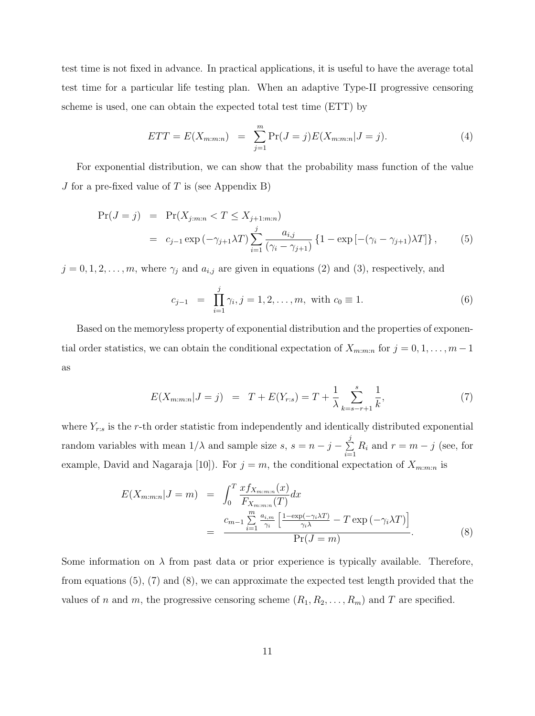test time is not fixed in advance. In practical applications, it is useful to have the average total test time for a particular life testing plan. When an adaptive Type-II progressive censoring scheme is used, one can obtain the expected total test time (ETT) by

$$
ETT = E(X_{m:m:n}) = \sum_{j=1}^{m} \Pr(J=j)E(X_{m:m:n}|J=j).
$$
 (4)

For exponential distribution, we can show that the probability mass function of the value J for a pre-fixed value of  $T$  is (see Appendix B)

$$
\Pr(J = j) = \Pr(X_{j:m:n} < T \le X_{j+1:m:n})
$$
\n
$$
= c_{j-1} \exp(-\gamma_{j+1}\lambda T) \sum_{i=1}^{j} \frac{a_{i,j}}{(\gamma_i - \gamma_{j+1})} \{1 - \exp[-(\gamma_i - \gamma_{j+1})\lambda T] \}, \tag{5}
$$

 $j = 0, 1, 2, \ldots, m$ , where  $\gamma_j$  and  $a_{i,j}$  are given in equations (2) and (3), respectively, and

$$
c_{j-1} = \prod_{i=1}^{j} \gamma_i, j = 1, 2, \dots, m, \text{ with } c_0 \equiv 1. \tag{6}
$$

Based on the memoryless property of exponential distribution and the properties of exponential order statistics, we can obtain the conditional expectation of  $X_{m:m:n}$  for  $j = 0, 1, \ldots, m-1$ as

$$
E(X_{m:m:n}|J=j) = T + E(Y_{r:s}) = T + \frac{1}{\lambda} \sum_{k=s-r+1}^{s} \frac{1}{k},
$$
\n(7)

where  $Y_{r:s}$  is the r-th order statistic from independently and identically distributed exponential random variables with mean  $1/\lambda$  and sample size  $s, s = n - j - \sum$ j  $\sum_{i=1}^{r} R_i$  and  $r = m - j$  (see, for example, David and Nagaraja [10]). For  $j = m$ , the conditional expectation of  $X_{m:m:n}$  is

$$
E(X_{m:m:n}|J=m) = \int_0^T \frac{x f_{X_{m:m:n}}(x)}{F_{X_{m:m:n}}(T)} dx
$$
  
= 
$$
\frac{c_{m-1} \sum_{i=1}^m \frac{a_{i,m}}{\gamma_i} \left[ \frac{1 - \exp(-\gamma_i \lambda T)}{\gamma_i \lambda} - T \exp(-\gamma_i \lambda T) \right]}{\Pr(J=m)}.
$$
 (8)

Some information on  $\lambda$  from past data or prior experience is typically available. Therefore, from equations (5), (7) and (8), we can approximate the expected test length provided that the values of n and m, the progressive censoring scheme  $(R_1, R_2, \ldots, R_m)$  and T are specified.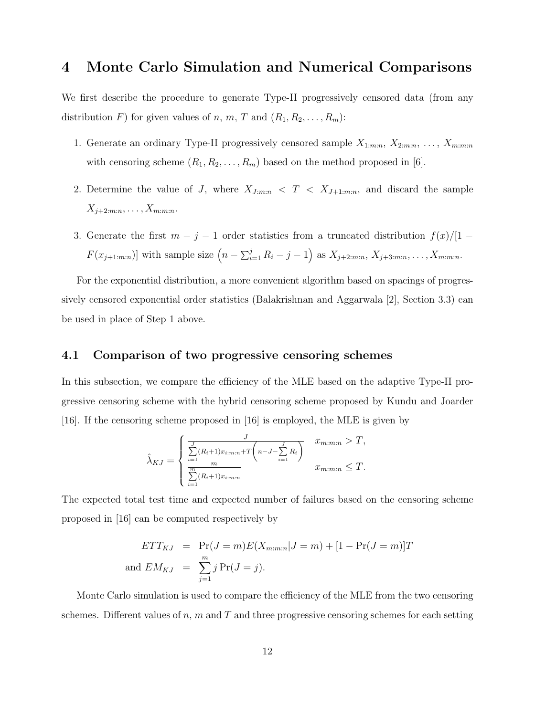## 4 Monte Carlo Simulation and Numerical Comparisons

We first describe the procedure to generate Type-II progressively censored data (from any distribution F) for given values of n, m, T and  $(R_1, R_2, \ldots, R_m)$ :

- 1. Generate an ordinary Type-II progressively censored sample  $X_{1:m:n}, X_{2:m:n}, \ldots, X_{m:m:n}$ with censoring scheme  $(R_1, R_2, \ldots, R_m)$  based on the method proposed in [6].
- 2. Determine the value of J, where  $X_{J:m:n} < T < X_{J+1:m:n}$ , and discard the sample  $X_{j+2:m:n}, \ldots, X_{m:m:n}.$
- 3. Generate the first  $m j 1$  order statistics from a truncated distribution  $f(x)/[1 F(x_{j+1:m:n})$  with sample size  $(n - \sum_{i=1}^{j} R_i - j - 1)$  as  $X_{j+2:m:n}, X_{j+3:m:n}, \ldots, X_{m:m:n}$ .

For the exponential distribution, a more convenient algorithm based on spacings of progressively censored exponential order statistics (Balakrishnan and Aggarwala [2], Section 3.3) can be used in place of Step 1 above.

#### 4.1 Comparison of two progressive censoring schemes

In this subsection, we compare the efficiency of the MLE based on the adaptive Type-II progressive censoring scheme with the hybrid censoring scheme proposed by Kundu and Joarder [16]. If the censoring scheme proposed in [16] is employed, the MLE is given by

$$
\hat{\lambda}_{KJ} = \begin{cases}\n\frac{J}{\sum\limits_{i=1}^{J} (R_i + 1)x_{i:m:n} + T\left(n - J - \sum\limits_{i=1}^{J} R_i\right)} & x_{m:m:n} > T, \\
\frac{m}{\sum\limits_{i=1}^{m} (R_i + 1)x_{i:m:n}} & x_{m:m:n} \le T.\n\end{cases}
$$

The expected total test time and expected number of failures based on the censoring scheme proposed in [16] can be computed respectively by

$$
ETT_{KJ} = \Pr(J=m)E(X_{m:m:n}|J=m) + [1 - \Pr(J=m)]T
$$
  
and 
$$
EM_{KJ} = \sum_{j=1}^{m} j \Pr(J=j).
$$

Monte Carlo simulation is used to compare the efficiency of the MLE from the two censoring schemes. Different values of n, m and T and three progressive censoring schemes for each setting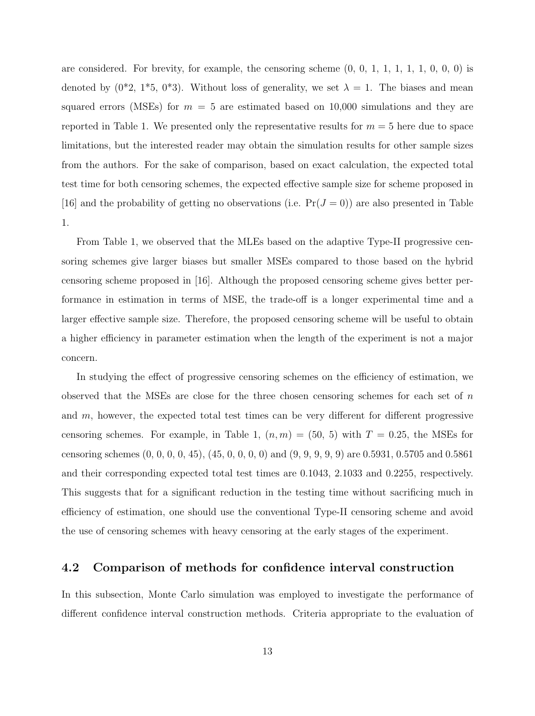are considered. For brevity, for example, the censoring scheme  $(0, 0, 1, 1, 1, 1, 0, 0, 0)$  is denoted by  $(0^*2, 1^*5, 0^*3)$ . Without loss of generality, we set  $\lambda = 1$ . The biases and mean squared errors (MSEs) for  $m = 5$  are estimated based on 10,000 simulations and they are reported in Table 1. We presented only the representative results for  $m = 5$  here due to space limitations, but the interested reader may obtain the simulation results for other sample sizes from the authors. For the sake of comparison, based on exact calculation, the expected total test time for both censoring schemes, the expected effective sample size for scheme proposed in [16] and the probability of getting no observations (i.e.  $Pr(J = 0)$ ) are also presented in Table 1.

From Table 1, we observed that the MLEs based on the adaptive Type-II progressive censoring schemes give larger biases but smaller MSEs compared to those based on the hybrid censoring scheme proposed in [16]. Although the proposed censoring scheme gives better performance in estimation in terms of MSE, the trade-off is a longer experimental time and a larger effective sample size. Therefore, the proposed censoring scheme will be useful to obtain a higher efficiency in parameter estimation when the length of the experiment is not a major concern.

In studying the effect of progressive censoring schemes on the efficiency of estimation, we observed that the MSEs are close for the three chosen censoring schemes for each set of  $n$ and m, however, the expected total test times can be very different for different progressive censoring schemes. For example, in Table 1,  $(n, m) = (50, 5)$  with  $T = 0.25$ , the MSEs for censoring schemes (0, 0, 0, 0, 45), (45, 0, 0, 0, 0) and (9, 9, 9, 9, 9) are 0.5931, 0.5705 and 0.5861 and their corresponding expected total test times are 0.1043, 2.1033 and 0.2255, respectively. This suggests that for a significant reduction in the testing time without sacrificing much in efficiency of estimation, one should use the conventional Type-II censoring scheme and avoid the use of censoring schemes with heavy censoring at the early stages of the experiment.

#### 4.2 Comparison of methods for confidence interval construction

In this subsection, Monte Carlo simulation was employed to investigate the performance of different confidence interval construction methods. Criteria appropriate to the evaluation of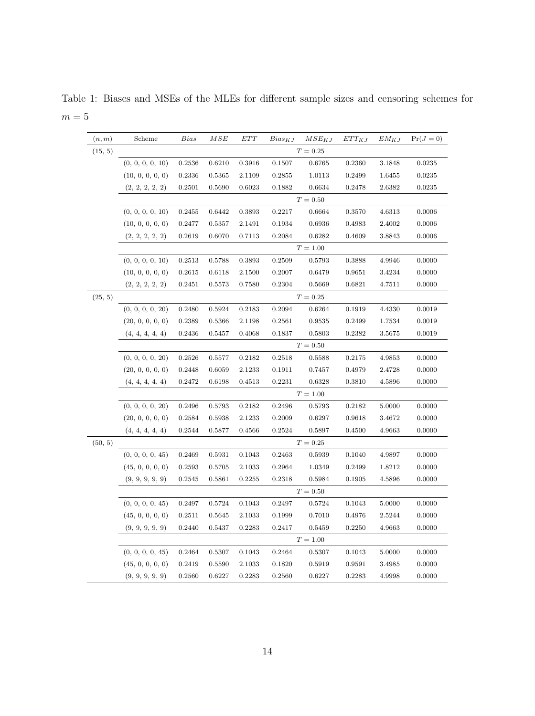Table 1: Biases and MSEs of the MLEs for different sample sizes and censoring schemes for  $m=5\,$ 

| (n, m)  | Scheme                    | Bias       | MSE    | ETT    | $Bias_{KJ}$ | $MSE_{KJ}$ | $ETT_{KJ}$ | $EM_{KJ}$ | $Pr(J=0)$ |  |
|---------|---------------------------|------------|--------|--------|-------------|------------|------------|-----------|-----------|--|
| (15, 5) |                           | $T = 0.25$ |        |        |             |            |            |           |           |  |
|         | (0, 0, 0, 0, 10)          | 0.2536     | 0.6210 | 0.3916 | 0.1507      | 0.6765     | 0.2360     | 3.1848    | 0.0235    |  |
|         | (10, 0, 0, 0, 0)          | 0.2336     | 0.5365 | 2.1109 | 0.2855      | 1.0113     | 0.2499     | 1.6455    | 0.0235    |  |
|         | (2, 2, 2, 2, 2)           | 0.2501     | 0.5690 | 0.6023 | 0.1882      | 0.6634     | 0.2478     | 2.6382    | 0.0235    |  |
|         | $T = 0.50$                |            |        |        |             |            |            |           |           |  |
|         | (0, 0, 0, 0, 10)          | 0.2455     | 0.6442 | 0.3893 | 0.2217      | 0.6664     | 0.3570     | 4.6313    | 0.0006    |  |
|         | (10, 0, 0, 0, 0)          | 0.2477     | 0.5357 | 2.1491 | 0.1934      | 0.6936     | 0.4983     | 2.4002    | 0.0006    |  |
|         | (2, 2, 2, 2, 2)           | 0.2619     | 0.6070 | 0.7113 | 0.2084      | 0.6282     | 0.4609     | 3.8843    | 0.0006    |  |
|         | $T = 1.00$                |            |        |        |             |            |            |           |           |  |
|         | (0, 0, 0, 0, 10)          | $0.2513\,$ | 0.5788 | 0.3893 | 0.2509      | 0.5793     | 0.3888     | 4.9946    | 0.0000    |  |
|         | (10, 0, 0, 0, 0)          | 0.2615     | 0.6118 | 2.1500 | 0.2007      | 0.6479     | 0.9651     | 3.4234    | 0.0000    |  |
|         | (2, 2, 2, 2, 2)           | 0.2451     | 0.5573 | 0.7580 | 0.2304      | 0.5669     | 0.6821     | 4.7511    | 0.0000    |  |
| (25, 5) | $T=0.25\,$                |            |        |        |             |            |            |           |           |  |
|         | (0, 0, 0, 0, 20)          | 0.2480     | 0.5924 | 0.2183 | 0.2094      | 0.6264     | 0.1919     | 4.4330    | 0.0019    |  |
|         | (20, 0, 0, 0, 0)          | 0.2389     | 0.5366 | 2.1198 | 0.2561      | 0.9535     | 0.2499     | 1.7534    | 0.0019    |  |
|         | (4, 4, 4, 4, 4)           | 0.2436     | 0.5457 | 0.4068 | 0.1837      | 0.5803     | 0.2382     | 3.5675    | 0.0019    |  |
|         | $T = 0.50$                |            |        |        |             |            |            |           |           |  |
|         | (0, 0, 0, 0, 20)          | 0.2526     | 0.5577 | 0.2182 | 0.2518      | 0.5588     | 0.2175     | 4.9853    | 0.0000    |  |
|         | (20, 0, 0, 0, 0)          | 0.2448     | 0.6059 | 2.1233 | 0.1911      | 0.7457     | 0.4979     | 2.4728    | 0.0000    |  |
|         | (4, 4, 4, 4, 4)           | 0.2472     | 0.6198 | 0.4513 | 0.2231      | 0.6328     | 0.3810     | 4.5896    | 0.0000    |  |
|         |                           |            |        |        | $T = 1.00$  |            |            |           |           |  |
|         | (0, 0, 0, 0, 20)          | 0.2496     | 0.5793 | 0.2182 | 0.2496      | 0.5793     | 0.2182     | 5.0000    | 0.0000    |  |
|         | (20, 0, 0, 0, 0)          | 0.2584     | 0.5938 | 2.1233 | 0.2009      | 0.6297     | 0.9618     | 3.4672    | 0.0000    |  |
|         | (4, 4, 4, 4, 4)           | 0.2544     | 0.5877 | 0.4566 | 0.2524      | 0.5897     | 0.4500     | 4.9663    | 0.0000    |  |
| (50, 5) | $T = 0.25$                |            |        |        |             |            |            |           |           |  |
|         | (0, 0, 0, 0, 45)          | 0.2469     | 0.5931 | 0.1043 | 0.2463      | 0.5939     | 0.1040     | 4.9897    | 0.0000    |  |
|         | (45, 0, 0, 0, 0)          | 0.2593     | 0.5705 | 2.1033 | 0.2964      | 1.0349     | 0.2499     | 1.8212    | 0.0000    |  |
|         | (9, 9, 9, 9, 9)           | 0.2545     | 0.5861 | 0.2255 | 0.2318      | 0.5984     | 0.1905     | 4.5896    | 0.0000    |  |
|         | $T = 0.50$                |            |        |        |             |            |            |           |           |  |
|         | (0, 0, 0, 0, 45)          | 0.2497     | 0.5724 | 0.1043 | 0.2497      | 0.5724     | 0.1043     | 5.0000    | 0.0000    |  |
|         | $(45, 0, 0, 0, 0)$ 0.2511 |            | 0.5645 | 2.1033 | 0.1999      | 0.7010     | 0.4976     | 2.5244    | 0.0000    |  |
|         | (9, 9, 9, 9, 9)           | 0.2440     | 0.5437 | 0.2283 | 0.2417      | 0.5459     | 0.2250     | 4.9663    | 0.0000    |  |
|         | $T = 1.00$                |            |        |        |             |            |            |           |           |  |
|         | (0, 0, 0, 0, 45)          | 0.2464     | 0.5307 | 0.1043 | 0.2464      | 0.5307     | 0.1043     | 5.0000    | 0.0000    |  |
|         | (45, 0, 0, 0, 0)          | 0.2419     | 0.5590 | 2.1033 | 0.1820      | 0.5919     | 0.9591     | 3.4985    | 0.0000    |  |
|         | (9, 9, 9, 9, 9)           | 0.2560     | 0.6227 | 0.2283 | 0.2560      | 0.6227     | 0.2283     | 4.9998    | 0.0000    |  |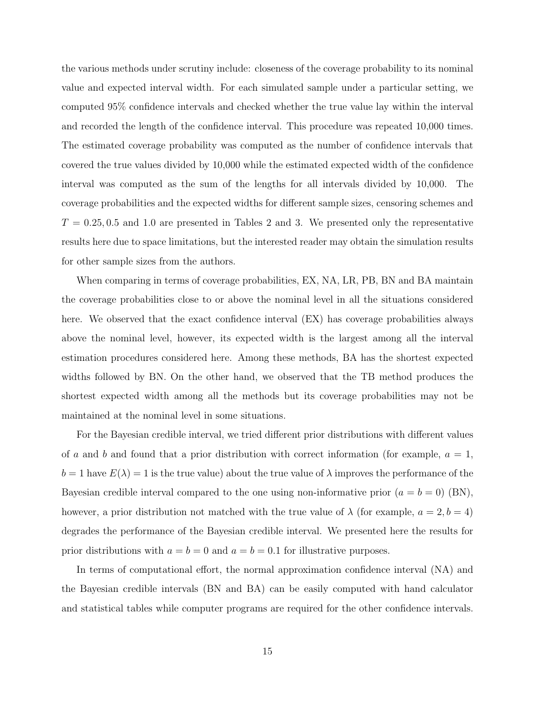the various methods under scrutiny include: closeness of the coverage probability to its nominal value and expected interval width. For each simulated sample under a particular setting, we computed 95% confidence intervals and checked whether the true value lay within the interval and recorded the length of the confidence interval. This procedure was repeated 10,000 times. The estimated coverage probability was computed as the number of confidence intervals that covered the true values divided by 10,000 while the estimated expected width of the confidence interval was computed as the sum of the lengths for all intervals divided by 10,000. The coverage probabilities and the expected widths for different sample sizes, censoring schemes and  $T = 0.25, 0.5$  and 1.0 are presented in Tables 2 and 3. We presented only the representative results here due to space limitations, but the interested reader may obtain the simulation results for other sample sizes from the authors.

When comparing in terms of coverage probabilities, EX, NA, LR, PB, BN and BA maintain the coverage probabilities close to or above the nominal level in all the situations considered here. We observed that the exact confidence interval (EX) has coverage probabilities always above the nominal level, however, its expected width is the largest among all the interval estimation procedures considered here. Among these methods, BA has the shortest expected widths followed by BN. On the other hand, we observed that the TB method produces the shortest expected width among all the methods but its coverage probabilities may not be maintained at the nominal level in some situations.

For the Bayesian credible interval, we tried different prior distributions with different values of a and b and found that a prior distribution with correct information (for example,  $a = 1$ ,  $b = 1$  have  $E(\lambda) = 1$  is the true value) about the true value of  $\lambda$  improves the performance of the Bayesian credible interval compared to the one using non-informative prior  $(a = b = 0)$  (BN), however, a prior distribution not matched with the true value of  $\lambda$  (for example,  $a = 2, b = 4$ ) degrades the performance of the Bayesian credible interval. We presented here the results for prior distributions with  $a = b = 0$  and  $a = b = 0.1$  for illustrative purposes.

In terms of computational effort, the normal approximation confidence interval (NA) and the Bayesian credible intervals (BN and BA) can be easily computed with hand calculator and statistical tables while computer programs are required for the other confidence intervals.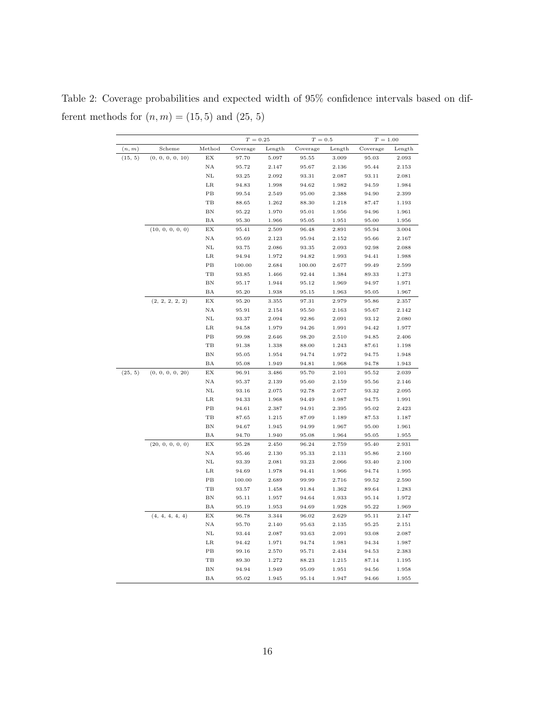Table 2: Coverage probabilities and expected width of 95% confidence intervals based on different methods for  $\left(n,m\right)=\left(15,5\right)$  and  $\left(25,\,5\right)$ 

|         |                  |          | $T = 0.25$     |                | $T=0.5\,$ |        | $T = 1.00$     |        |
|---------|------------------|----------|----------------|----------------|-----------|--------|----------------|--------|
| (n, m)  | Scheme           | Method   | Coverage       | Length         | Coverage  | Length | Coverage       | Length |
| (15, 5) | (0, 0, 0, 0, 10) | EX       | 97.70          | 5.097          | 95.55     | 3.009  | 95.03          | 2.093  |
|         |                  | ΝA       | 95.72          | 2.147          | 95.67     | 2.136  | 95.44          | 2.153  |
|         |                  | NL       | 93.25          | 2.092          | 93.31     | 2.087  | 93.11          | 2.081  |
|         |                  | LR       | 94.83          | 1.998          | 94.62     | 1.982  | 94.59          | 1.984  |
|         |                  | PВ       | 99.54          | 2.549          | 95.00     | 2.388  | 94.90          | 2.399  |
|         |                  | TВ       | 88.65          | 1.262          | 88.30     | 1.218  | 87.47          | 1.193  |
|         |                  | ΒN       | 95.22          | 1.970          | 95.01     | 1.956  | 94.96          | 1.961  |
|         |                  | ΒA       | 95.30          | 1.966          | 95.05     | 1.951  | 95.00          | 1.956  |
|         | (10, 0, 0, 0, 0) | EX       | 95.41          | 2.509          | 96.48     | 2.891  | 95.94          | 3.004  |
|         |                  | NA       | 95.69          | 2.123          | 95.94     | 2.152  | 95.66          | 2.167  |
|         |                  | NL       | 93.75          | 2.086          | 93.35     | 2.093  | 92.98          | 2.088  |
|         |                  | LR       | 94.94          | 1.972          | 94.82     | 1.993  | 94.41          | 1.988  |
|         |                  | PВ       | 100.00         | 2.684          | 100.00    | 2.677  | 99.49          | 2.599  |
|         |                  | TB       | 93.85          | 1.466          | 92.44     | 1.384  | 89.33          | 1.273  |
|         |                  | BN       | 95.17          | 1.944          | 95.12     | 1.969  | 94.97          | 1.971  |
|         |                  | ΒA       | 95.20          | 1.938          | 95.15     | 1.963  | 95.05          | 1.967  |
|         | (2, 2, 2, 2, 2)  | ΕX       | 95.20          | 3.355          | 97.31     | 2.979  | 95.86          | 2.357  |
|         |                  | ΝA       | 95.91          | 2.154          | 95.50     | 2.163  | 95.67          | 2.142  |
|         |                  | NL       | 93.37          | 2.094          | 92.86     | 2.091  | 93.12          | 2.080  |
|         |                  | $_{LR}$  | 94.58          | 1.979          | 94.26     | 1.991  | 94.42          | 1.977  |
|         |                  | PВ       | 99.98          | 2.646          | 98.20     | 2.510  | 94.85          | 2.406  |
|         |                  | TВ       | 91.38          | 1.338          | 88.00     | 1.243  | 87.61          | 1.198  |
|         |                  | ΒN       | 95.05          | 1.954          | 94.74     | 1.972  | 94.75          | 1.948  |
|         |                  | ΒA       | 95.08          | 1.949          | 94.81     | 1.968  | 94.78          | 1.943  |
| (25, 5) | (0, 0, 0, 0, 20) | ΕX       | 96.91          | 3.486          | 95.70     | 2.101  | 95.52          | 2.039  |
|         |                  | NA       | 95.37          | 2.139          | 95.60     | 2.159  | 95.56          | 2.146  |
|         |                  | NL       | 93.16          | 2.075          | 92.78     | 2.077  | 93.32          | 2.095  |
|         |                  | LR       | 94.33          | 1.968          | 94.49     | 1.987  | 94.75          | 1.991  |
|         |                  | PВ       | 94.61          | 2.387          | 94.91     | 2.395  | 95.02          | 2.423  |
|         |                  | TВ       | 87.65          | 1.215          | 87.09     | 1.189  | 87.53          | 1.187  |
|         |                  | ΒN       | 94.67          | 1.945          | 94.99     | 1.967  | 95.00          | 1.961  |
|         |                  | ΒA       | 94.70          | 1.940          | 95.08     | 1.964  | 95.05          | 1.955  |
|         | (20, 0, 0, 0, 0) | EX       | 95.28          | 2.450          | 96.24     | 2.759  | 95.40          | 2.931  |
|         |                  | ΝA       | 95.46          | 2.130          | 95.33     | 2.131  | 95.86          | 2.160  |
|         |                  | NL       | 93.39          | 2.081          | 93.23     | 2.066  | 93.40          | 2.100  |
|         |                  | LR       | 94.69          | 1.978          | 94.41     | 1.966  | 94.74          | 1.995  |
|         |                  | PВ       | 100.00         | 2.689          | 99.99     | 2.716  | 99.52          | 2.590  |
|         |                  | TB       | 93.57          | 1.458          | 91.84     | 1.362  | 89.64          | 1.283  |
|         |                  | ΒN       | 95.11          | 1.957          | 94.64     | 1.933  | 95.14          | 1.972  |
|         |                  | ΒA       |                |                | 94.69     | 1.928  |                | 1.969  |
|         |                  |          | 95.19          | 1.953<br>3.344 |           | 2.629  | 95.22          |        |
|         | (4, 4, 4, 4, 4)  | EХ<br>ΝA | 96.78<br>95.70 |                | 96.02     |        | 95.11<br>95.25 | 2.147  |
|         |                  |          |                | 2.140          | 95.63     | 2.135  |                | 2.151  |
|         |                  | NL       | 93.44          | 2.087          | 93.63     | 2.091  | 93.08          | 2.087  |
|         |                  | $_{LR}$  | 94.42          | 1.971          | 94.74     | 1.981  | 94.34          | 1.987  |
|         |                  | PB       | 99.16          | 2.570          | 95.71     | 2.434  | 94.53          | 2.383  |
|         |                  | TB       | 89.30          | 1.272          | 88.23     | 1.215  | 87.14          | 1.195  |
|         |                  | ΒN       | 94.94          | 1.949          | 95.09     | 1.951  | 94.56          | 1.958  |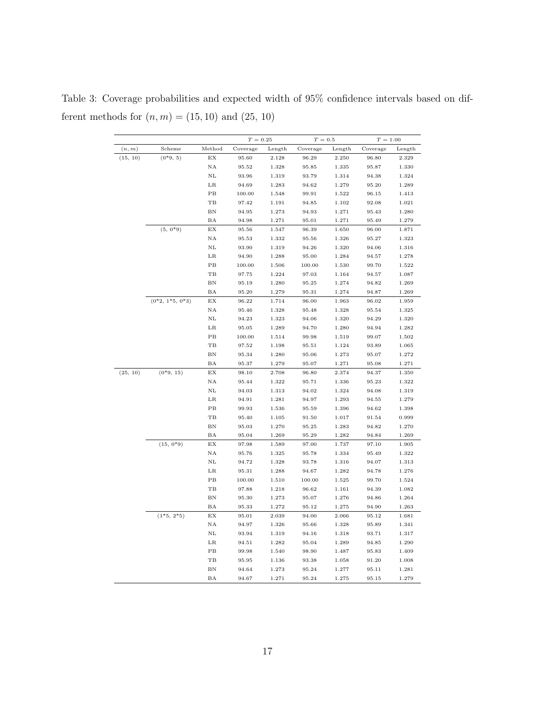Table 3: Coverage probabilities and expected width of 95% confidence intervals based on different methods for  $(n, m) = (15, 10)$  and  $(25, 10)$ 

|          |                   |                            | $T = 0.25$ |        | $T=0.5$  |        | $T = 1.00$ |        |
|----------|-------------------|----------------------------|------------|--------|----------|--------|------------|--------|
| (n, m)   | Scheme            | Method                     | Coverage   | Length | Coverage | Length | Coverage   | Length |
| (15, 10) | $(0*9, 5)$        | EX                         | 95.60      | 2.128  | 96.29    | 2.250  | 96.80      | 2.329  |
|          |                   | ΝA                         | 95.52      | 1.328  | 95.85    | 1.335  | 95.87      | 1.330  |
|          |                   | NL                         | 93.96      | 1.319  | 93.79    | 1.314  | 94.38      | 1.324  |
|          |                   | LR                         | 94.69      | 1.283  | 94.62    | 1.279  | 95.20      | 1.289  |
|          |                   | PB                         | 100.00     | 1.548  | 99.91    | 1.522  | 96.15      | 1.413  |
|          |                   | TB                         | 97.42      | 1.191  | 94.85    | 1.102  | 92.08      | 1.021  |
|          |                   | ΒN                         | 94.95      | 1.273  | 94.93    | 1.271  | 95.43      | 1.280  |
|          |                   | ΒA                         | 94.98      | 1.271  | 95.01    | 1.271  | 95.49      | 1.279  |
|          | $(5, 0^*9)$       | $\mathop{\rm EX}\nolimits$ | 95.56      | 1.547  | 96.39    | 1.650  | 96.00      | 1.871  |
|          |                   | NA                         | 95.53      | 1.332  | 95.56    | 1.326  | 95.27      | 1.323  |
|          |                   | NL                         | 93.90      | 1.319  | 94.26    | 1.320  | 94.06      | 1.316  |
|          |                   | $_{\rm LR}$                | 94.90      | 1.288  | 95.00    | 1.284  | 94.57      | 1.278  |
|          |                   | PB                         | 100.00     | 1.506  | 100.00   | 1.530  | 99.70      | 1.522  |
|          |                   | TB                         | 97.75      | 1.224  | 97.03    | 1.164  | 94.57      | 1.087  |
|          |                   | ΒN                         | 95.19      | 1.280  | 95.25    | 1.274  | 94.82      | 1.269  |
|          |                   | ΒA                         | 95.20      | 1.279  | 95.31    | 1.274  | 94.87      | 1.269  |
|          | $(0*2, 1*5, 0*3)$ | EX                         | 96.22      | 1.714  | 96.00    | 1.963  | 96.02      | 1.959  |
|          |                   | NA                         | 95.46      | 1.328  | 95.48    | 1.328  | 95.54      | 1.325  |
|          |                   | $\rm NL$                   | 94.23      | 1.323  | 94.06    | 1.320  | 94.29      | 1.320  |
|          |                   | $_{LR}$                    | 95.05      | 1.289  | 94.70    | 1.280  | 94.94      | 1.282  |
|          |                   | PB                         | 100.00     | 1.514  | 99.98    | 1.519  | 99.07      | 1.502  |
|          |                   | TB                         | 97.52      | 1.198  | 95.51    | 1.124  | 93.89      | 1.065  |
|          |                   | ΒN                         | 95.34      | 1.280  | 95.06    | 1.273  | 95.07      | 1.272  |
|          |                   | ΒA                         | 95.37      | 1.279  | 95.07    | 1.271  | 95.08      | 1.271  |
| (25, 10) | $(0*9, 15)$       | EX                         | 98.10      | 2.708  | 96.80    | 2.374  | 94.37      | 1.350  |
|          |                   | ΝA                         | 95.44      | 1.322  | 95.71    | 1.336  | 95.23      | 1.322  |
|          |                   | NL                         | 94.03      | 1.313  | 94.02    | 1.324  | 94.08      | 1.319  |
|          |                   | LR                         | 94.91      | 1.281  | 94.97    | 1.293  | 94.55      | 1.279  |
|          |                   | $_{\rm PB}$                | 99.93      | 1.536  | 95.59    | 1.396  | 94.62      | 1.398  |
|          |                   | $_{\rm TB}$                | 95.40      | 1.105  | 91.50    | 1.017  | 91.54      | 0.999  |
|          |                   | ΒN                         | 95.03      | 1.270  | 95.25    | 1.283  | 94.82      | 1.270  |
|          |                   | ΒA                         | 95.04      | 1.269  | 95.29    | 1.282  | 94.84      | 1.269  |
|          | $(15, 0*9)$       | $\mathop{\rm EX}\nolimits$ | 97.98      | 1.589  | 97.00    | 1.737  | 97.10      | 1.905  |
|          |                   | NA                         | 95.76      | 1.325  | 95.78    | 1.334  | 95.49      | 1.322  |
|          |                   | $_{\rm NL}$                | 94.72      | 1.328  | 93.78    | 1.316  | 94.07      | 1.313  |
|          |                   | $_{\rm LR}$                | 95.31      | 1.288  | 94.67    | 1.282  | 94.78      | 1.276  |
|          |                   | PB                         | 100.00     | 1.510  | 100.00   | 1.525  | 99.70      | 1.524  |
|          |                   | TB                         | 97.88      | 1.218  | 96.62    | 1.161  | 94.39      | 1.082  |
|          |                   | BN                         | 95.30      | 1.273  | 95.07    | 1.276  | 94.86      | 1.264  |
|          |                   | ΒA                         | 95.33      | 1.272  | 95.12    | 1.275  | 94.90      | 1.263  |
|          | $(1*5, 2*5)$      | EX                         | 95.01      | 2.039  | 94.00    | 2.066  | 95.12      | 1.681  |
|          |                   | NA                         | 94.97      | 1.326  | 95.66    | 1.328  | 95.89      | 1.341  |
|          |                   | $_{\rm NL}$                | 93.94      | 1.319  | 94.16    | 1.318  | 93.71      | 1.317  |
|          |                   | $_{LR}$                    | 94.51      | 1.282  | 95.04    | 1.289  | 94.85      | 1.290  |
|          |                   | PB                         | 99.98      | 1.540  | 98.90    | 1.487  | 95.83      | 1.409  |
|          |                   | TB                         | 95.95      | 1.136  | 93.38    | 1.058  | 91.20      | 1.008  |
|          |                   | ΒN                         | 94.64      | 1.273  | 95.24    | 1.277  | 95.11      | 1.281  |
|          |                   | ΒA                         | 94.67      | 1.271  | 95.24    | 1.275  | 95.15      | 1.279  |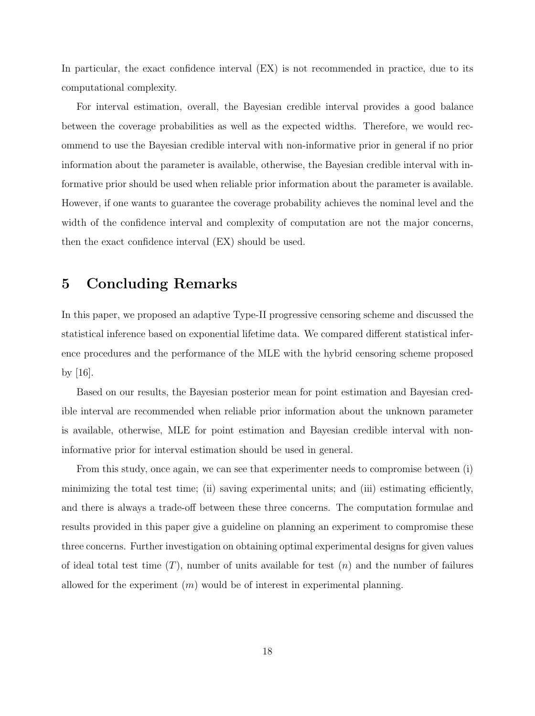In particular, the exact confidence interval (EX) is not recommended in practice, due to its computational complexity.

For interval estimation, overall, the Bayesian credible interval provides a good balance between the coverage probabilities as well as the expected widths. Therefore, we would recommend to use the Bayesian credible interval with non-informative prior in general if no prior information about the parameter is available, otherwise, the Bayesian credible interval with informative prior should be used when reliable prior information about the parameter is available. However, if one wants to guarantee the coverage probability achieves the nominal level and the width of the confidence interval and complexity of computation are not the major concerns, then the exact confidence interval (EX) should be used.

## 5 Concluding Remarks

In this paper, we proposed an adaptive Type-II progressive censoring scheme and discussed the statistical inference based on exponential lifetime data. We compared different statistical inference procedures and the performance of the MLE with the hybrid censoring scheme proposed by [16].

Based on our results, the Bayesian posterior mean for point estimation and Bayesian credible interval are recommended when reliable prior information about the unknown parameter is available, otherwise, MLE for point estimation and Bayesian credible interval with noninformative prior for interval estimation should be used in general.

From this study, once again, we can see that experimenter needs to compromise between (i) minimizing the total test time; (ii) saving experimental units; and (iii) estimating efficiently, and there is always a trade-off between these three concerns. The computation formulae and results provided in this paper give a guideline on planning an experiment to compromise these three concerns. Further investigation on obtaining optimal experimental designs for given values of ideal total test time  $(T)$ , number of units available for test  $(n)$  and the number of failures allowed for the experiment  $(m)$  would be of interest in experimental planning.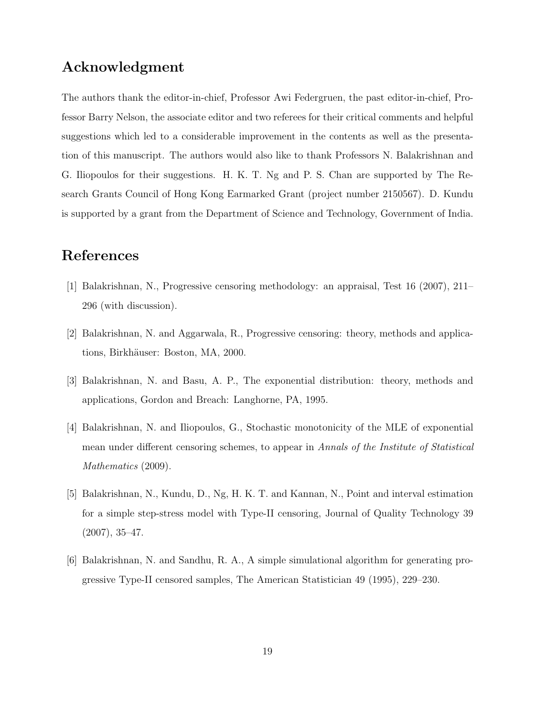## Acknowledgment

The authors thank the editor-in-chief, Professor Awi Federgruen, the past editor-in-chief, Professor Barry Nelson, the associate editor and two referees for their critical comments and helpful suggestions which led to a considerable improvement in the contents as well as the presentation of this manuscript. The authors would also like to thank Professors N. Balakrishnan and G. Iliopoulos for their suggestions. H. K. T. Ng and P. S. Chan are supported by The Research Grants Council of Hong Kong Earmarked Grant (project number 2150567). D. Kundu is supported by a grant from the Department of Science and Technology, Government of India.

## References

- [1] Balakrishnan, N., Progressive censoring methodology: an appraisal, Test 16 (2007), 211– 296 (with discussion).
- [2] Balakrishnan, N. and Aggarwala, R., Progressive censoring: theory, methods and applications, Birkhäuser: Boston, MA, 2000.
- [3] Balakrishnan, N. and Basu, A. P., The exponential distribution: theory, methods and applications, Gordon and Breach: Langhorne, PA, 1995.
- [4] Balakrishnan, N. and Iliopoulos, G., Stochastic monotonicity of the MLE of exponential mean under different censoring schemes, to appear in Annals of the Institute of Statistical Mathematics  $(2009)$ .
- [5] Balakrishnan, N., Kundu, D., Ng, H. K. T. and Kannan, N., Point and interval estimation for a simple step-stress model with Type-II censoring, Journal of Quality Technology 39  $(2007), 35-47.$
- [6] Balakrishnan, N. and Sandhu, R. A., A simple simulational algorithm for generating progressive Type-II censored samples, The American Statistician 49 (1995), 229–230.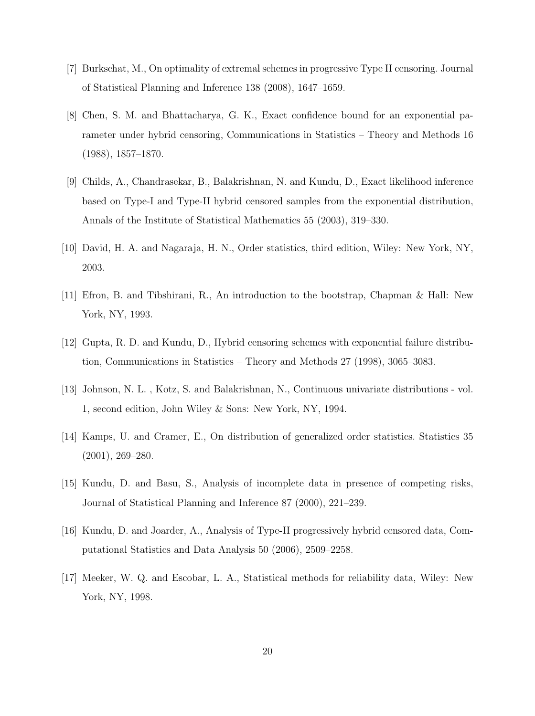- [7] Burkschat, M., On optimality of extremal schemes in progressive Type II censoring. Journal of Statistical Planning and Inference 138 (2008), 1647–1659.
- [8] Chen, S. M. and Bhattacharya, G. K., Exact confidence bound for an exponential parameter under hybrid censoring, Communications in Statistics – Theory and Methods 16 (1988), 1857–1870.
- [9] Childs, A., Chandrasekar, B., Balakrishnan, N. and Kundu, D., Exact likelihood inference based on Type-I and Type-II hybrid censored samples from the exponential distribution, Annals of the Institute of Statistical Mathematics 55 (2003), 319–330.
- [10] David, H. A. and Nagaraja, H. N., Order statistics, third edition, Wiley: New York, NY, 2003.
- [11] Efron, B. and Tibshirani, R., An introduction to the bootstrap, Chapman & Hall: New York, NY, 1993.
- [12] Gupta, R. D. and Kundu, D., Hybrid censoring schemes with exponential failure distribution, Communications in Statistics – Theory and Methods 27 (1998), 3065–3083.
- [13] Johnson, N. L. , Kotz, S. and Balakrishnan, N., Continuous univariate distributions vol. 1, second edition, John Wiley & Sons: New York, NY, 1994.
- [14] Kamps, U. and Cramer, E., On distribution of generalized order statistics. Statistics 35 (2001), 269–280.
- [15] Kundu, D. and Basu, S., Analysis of incomplete data in presence of competing risks, Journal of Statistical Planning and Inference 87 (2000), 221–239.
- [16] Kundu, D. and Joarder, A., Analysis of Type-II progressively hybrid censored data, Computational Statistics and Data Analysis 50 (2006), 2509–2258.
- [17] Meeker, W. Q. and Escobar, L. A., Statistical methods for reliability data, Wiley: New York, NY, 1998.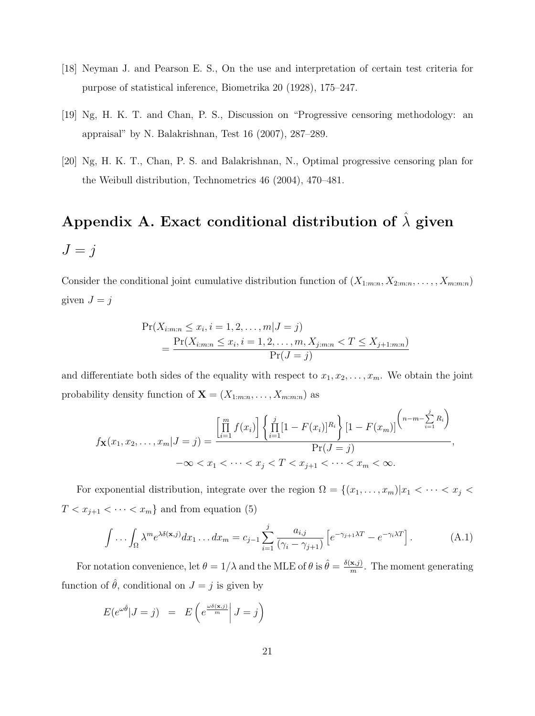- [18] Neyman J. and Pearson E. S., On the use and interpretation of certain test criteria for purpose of statistical inference, Biometrika 20 (1928), 175–247.
- [19] Ng, H. K. T. and Chan, P. S., Discussion on "Progressive censoring methodology: an appraisal" by N. Balakrishnan, Test 16 (2007), 287–289.
- [20] Ng, H. K. T., Chan, P. S. and Balakrishnan, N., Optimal progressive censoring plan for the Weibull distribution, Technometrics 46 (2004), 470–481.

## Appendix A. Exact conditional distribution of  $\hat{\lambda}$  given  $J = j$

Consider the conditional joint cumulative distribution function of  $(X_{1:m:n}, X_{2:m:n}, \ldots, X_{m:m:n})$ given  $J = j$ 

$$
\Pr(X_{i:m:n} \le x_i, i = 1, 2, ..., m | J = j)
$$
  
= 
$$
\frac{\Pr(X_{i:m:n} \le x_i, i = 1, 2, ..., m, X_{j:m:n} < T \le X_{j+1:m:n})}{\Pr(J = j)}
$$

and differentiate both sides of the equality with respect to  $x_1, x_2, \ldots, x_m$ . We obtain the joint probability density function of  $\mathbf{X} = (X_{1:m:n}, \ldots, X_{m:m:n})$  as

$$
f_{\mathbf{X}}(x_1, x_2, \dots, x_m | J = j) = \frac{\left[\prod_{i=1}^m f(x_i)\right] \left\{\prod_{i=1}^j [1 - F(x_i)]^{R_i}\right\} [1 - F(x_m)]}{\Pr(J = j)},
$$
  

$$
-\infty < x_1 < \dots < x_j < T < x_{j+1} < \dots < x_m < \infty.
$$

For exponential distribution, integrate over the region  $\Omega = \{(x_1, \ldots, x_m)|x_1 < \cdots < x_j <$  $T < x_{j+1} < \cdots < x_m$ } and from equation (5)

$$
\int \dots \int_{\Omega} \lambda^m e^{\lambda \delta(\mathbf{x}, j)} dx_1 \dots dx_m = c_{j-1} \sum_{i=1}^j \frac{a_{i,j}}{(\gamma_i - \gamma_{j+1})} \left[ e^{-\gamma_{j+1} \lambda T} - e^{-\gamma_i \lambda T} \right]. \tag{A.1}
$$

For notation convenience, let  $\theta = 1/\lambda$  and the MLE of  $\theta$  is  $\hat{\theta} = \frac{\delta(\mathbf{x},j)}{m}$  $\frac{\mathbf{x},j}{m}$ . The moment generating function of  $\hat{\theta}$ , conditional on  $J = j$  is given by

$$
E(e^{\omega \hat{\theta}} | J = j) = E\left(e^{\frac{\omega \delta(\mathbf{x}, j)}{m}} | J = j\right)
$$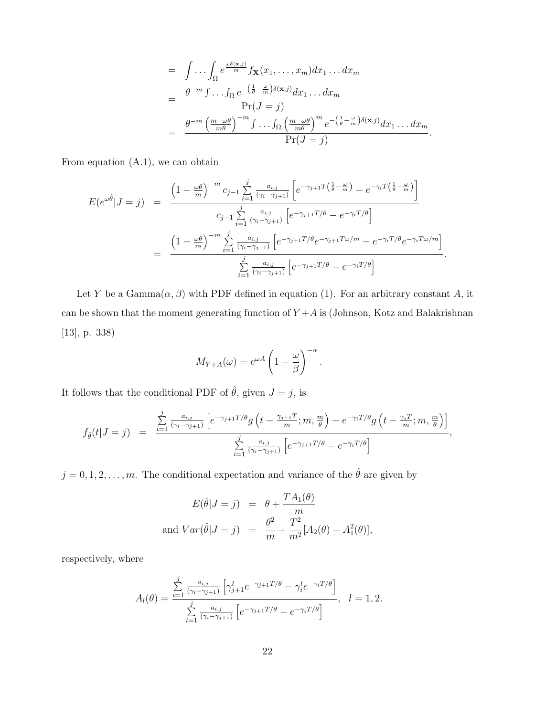$$
= \int \ldots \int_{\Omega} e^{\frac{\omega \delta(\mathbf{x},j)}{m}} f_{\mathbf{X}}(x_1,\ldots,x_m) dx_1 \ldots dx_m
$$
  

$$
= \frac{\theta^{-m} \int \ldots \int_{\Omega} e^{-\left(\frac{1}{\theta} - \frac{\omega}{m}\right) \delta(\mathbf{x},j)} dx_1 \ldots dx_m}{\Pr(J=j)}
$$
  

$$
= \frac{\theta^{-m} \left(\frac{m-\omega\theta}{m\theta}\right)^{-m} \int \ldots \int_{\Omega} \left(\frac{m-\omega\theta}{m\theta}\right)^m e^{-\left(\frac{1}{\theta} - \frac{\omega}{m}\right) \delta(\mathbf{x},j)} dx_1 \ldots dx_m}{\Pr(J=j)}.
$$

.

From equation (A.1), we can obtain

$$
E(e^{\omega\hat{\theta}}|J=j) = \frac{\left(1-\frac{\omega\theta}{m}\right)^{-m}c_{j-1}\sum_{i=1}^{j}\frac{a_{i,j}}{(\gamma_i-\gamma_{j+1})}\left[e^{-\gamma_{j+1}T\left(\frac{1}{\theta}-\frac{\omega}{m}\right)}-e^{-\gamma_iT\left(\frac{1}{\theta}-\frac{\omega}{m}\right)}\right]}{c_{j-1}\sum_{i=1}^{j}\frac{a_{i,j}}{(\gamma_i-\gamma_{j+1})}\left[e^{-\gamma_{j+1}T/\theta}-e^{-\gamma_iT/\theta}\right]}
$$

$$
= \frac{\left(1-\frac{\omega\theta}{m}\right)^{-m}\sum_{i=1}^{j}\frac{a_{i,j}}{(\gamma_i-\gamma_{j+1})}\left[e^{-\gamma_{j+1}T/\theta}e^{-\gamma_{j+1}T\omega/m}-e^{-\gamma_iT/\theta}e^{-\gamma_iT\omega/m}\right]}{\sum_{i=1}^{j}\frac{a_{i,j}}{(\gamma_i-\gamma_{j+1})}\left[e^{-\gamma_{j+1}T/\theta}-e^{-\gamma_iT/\theta}\right]}
$$

Let Y be a Gamma $(\alpha, \beta)$  with PDF defined in equation (1). For an arbitrary constant A, it can be shown that the moment generating function of  $Y+A$  is (Johnson, Kotz and Balakrishnan [13], p. 338)

$$
M_{Y+A}(\omega) = e^{\omega A} \left( 1 - \frac{\omega}{\beta} \right)^{-\alpha}
$$

.

It follows that the conditional PDF of  $\hat{\theta}$ , given  $J = j$ , is

$$
f_{\hat{\theta}}(t|J=j) = \frac{\sum_{i=1}^{j} \frac{a_{i,j}}{(\gamma_i - \gamma_{j+1})} \left[ e^{-\gamma_{j+1}T/\theta} g\left(t - \frac{\gamma_{j+1}T}{m}; m, \frac{m}{\theta}\right) - e^{-\gamma_i T/\theta} g\left(t - \frac{\gamma_i T}{m}; m, \frac{m}{\theta}\right) \right]}{\sum_{i=1}^{j} \frac{a_{i,j}}{(\gamma_i - \gamma_{j+1})} \left[ e^{-\gamma_{j+1}T/\theta} - e^{-\gamma_i T/\theta} \right]},
$$

 $j = 0, 1, 2, \ldots, m$ . The conditional expectation and variance of the  $\hat{\theta}$  are given by

$$
E(\hat{\theta}|J=j) = \theta + \frac{TA_1(\theta)}{m}
$$
  
and  $Var(\hat{\theta}|J=j) = \frac{\theta^2}{m} + \frac{T^2}{m^2}[A_2(\theta) - A_1^2(\theta)],$ 

respectively, where

$$
A_l(\theta) = \frac{\sum\limits_{i=1}^j \frac{a_{i,j}}{(\gamma_i - \gamma_{j+1})} \left[ \gamma_{j+1}^l e^{-\gamma_{j+1} T/\theta} - \gamma_i^l e^{-\gamma_i T/\theta} \right]}{\sum\limits_{i=1}^j \frac{a_{i,j}}{(\gamma_i - \gamma_{j+1})} \left[ e^{-\gamma_{j+1} T/\theta} - e^{-\gamma_i T/\theta} \right]}, \quad l = 1, 2.
$$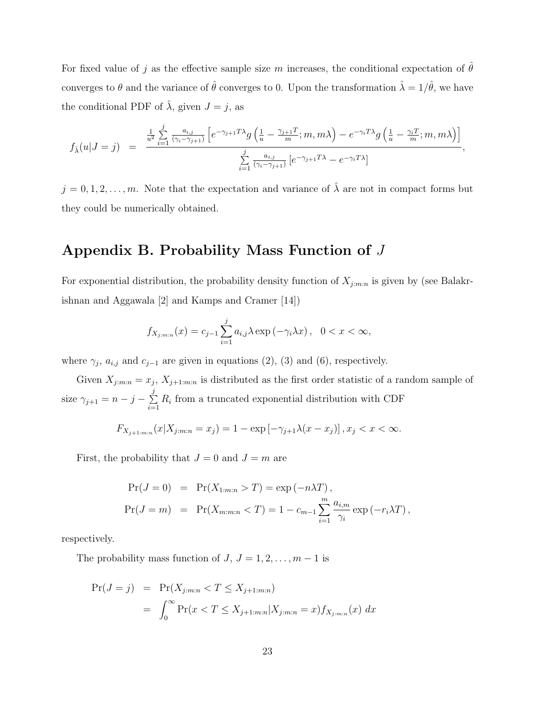For fixed value of j as the effective sample size m increases, the conditional expectation of  $\hat{\theta}$ converges to  $\theta$  and the variance of  $\hat{\theta}$  converges to 0. Upon the transformation  $\hat{\lambda} = 1/\hat{\theta}$ , we have the conditional PDF of  $\hat{\lambda}$ , given  $J = j$ , as

$$
f_{\hat{\lambda}}(u|J=j) = \frac{\frac{1}{u^2} \sum_{i=1}^{j} \frac{a_{i,j}}{(\gamma_i - \gamma_{j+1})} \left[ e^{-\gamma_{j+1} T \lambda} g\left(\frac{1}{u} - \frac{\gamma_{j+1} T}{m}; m, m\lambda\right) - e^{-\gamma_i T \lambda} g\left(\frac{1}{u} - \frac{\gamma_i T}{m}; m, m\lambda\right) \right]}{\sum_{i=1}^{j} \frac{a_{i,j}}{(\gamma_i - \gamma_{j+1})} \left[ e^{-\gamma_{j+1} T \lambda} - e^{-\gamma_i T \lambda} \right]},
$$

 $j = 0, 1, 2, \ldots, m$ . Note that the expectation and variance of  $\hat{\lambda}$  are not in compact forms but they could be numerically obtained.

## Appendix B. Probability Mass Function of J

For exponential distribution, the probability density function of  $X_{j:m:n}$  is given by (see Balakrishnan and Aggawala [2] and Kamps and Cramer [14])

$$
f_{X_{j:m:n}}(x) = c_{j-1} \sum_{i=1}^{j} a_{i,j} \lambda \exp(-\gamma_i \lambda x), \quad 0 < x < \infty,
$$

where  $\gamma_j$ ,  $a_{i,j}$  and  $c_{j-1}$  are given in equations (2), (3) and (6), respectively.

Given  $X_{j:m:n} = x_j$ ,  $X_{j+1:m:n}$  is distributed as the first order statistic of a random sample of size  $\gamma_{j+1} = n - j - \Sigma$ j  $\sum_{i=1} R_i$  from a truncated exponential distribution with CDF

 $F_{X_{j+1:m:n}}(x|X_{j:m:n} = x_j) = 1 - \exp[-\gamma_{j+1}\lambda(x - x_j)], x_j < x < \infty.$ 

First, the probability that  $J = 0$  and  $J = m$  are

$$
Pr(J = 0) = Pr(X_{1:m:n} > T) = exp(-n\lambda T),
$$
  
\n
$$
Pr(J = m) = Pr(X_{m:m:n} < T) = 1 - c_{m-1} \sum_{i=1}^{m} \frac{a_{i,m}}{\gamma_i} exp(-r_i \lambda T),
$$

respectively.

The probability mass function of  $J, J = 1, 2, \ldots, m - 1$  is

$$
Pr(J = j) = Pr(X_{j:m:n} < T \le X_{j+1:m:n})
$$
\n
$$
= \int_0^\infty Pr(x < T \le X_{j+1:m:n} | X_{j:m:n} = x) f_{X_{j:m:n}}(x) \, dx
$$